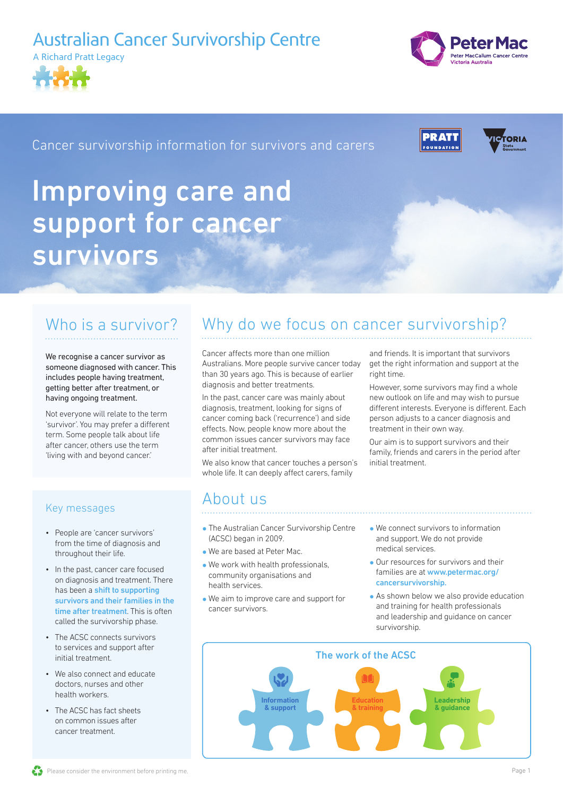## Australian Cancer Survivorship Centre





## Cancer survivorship information for survivors and carers Cancer survivorship information for survivors and carers





# Improving care and support for c SUI VIVUI S support for cancer survivors

# Who is a survivor?

We recognise a cancer survivor as someone diagnosed with cancer. This<br>includes accele having tractical includes people having treatment, mctudes people having treatment<br>getting better after treatment, or having ongoing treatment.

Not everyone will relate to the term 'survivor'. You may prefer a different survivor : rou may prefer a uniere<br>term. Some people talk about life after cancer, others use the term 'living with and beyond cancer.'

## Key messages

- People are 'cancer survivors' from the time of diagnosis and throughout their life.
- In the past, cancer care focused on diagnosis and treatment. There has been a shift to supporting survivors and their families in the time after treatment. This is often called the survivorship phase.
	- The ACSC connects survivors to services and support after initial treatment.
	- We also connect and educate doctors, nurses and other health workers.
	- The ACSC has fact sheets on common issues after cancer treatment.

## Why do we focus on cancer survivorship?

Cancer affects more than one million cancer arrects more than one mittion<br>Australians. More people survive cancer today Australians. More people survive cancer tou.<br>than 30 years ago. This is because of earlier diagnosis and better treatments.

In the past, cancer care was mainly about diagnosis, treatment, looking for signs of cancer coming back ('recurrence') and side effects. Now, people know more about the common issues cancer survivors may face after initial treatment.

We also know that cancer touches a person's we also know that cancer touches a person<br>whole life. It can deeply affect carers, family

and friends. It is important that survivors get the right information and support at the right time. to work in the work in the work in the work in the work of the work in the work of the work of the work of the work in the work of the work of the work of the work of the work of the work of the work of the work of the wor

However, some survivors may find a whole new outlook on life and may wish to pursue different interests. Everyone is different. Each person adjusts to a cancer diagnosis and treatment in their own way. However, some survivors may find a whole

our aim is to support survivors and their our annus to support survivors and their<br>family, friends and carers in the period after initial treatment. muat a catholit.

### About us ADUUL US or nurse. They can talk with you about any

- . The Australian Cancer Survivorship Centre If the Additional bander barriver single<br>(ACSC) began in 2009.
- We are based at Peter Mac.
- $\bullet$  We work with health professionals, If we went when heading processionals,<br>community organisations and health services.
- We aim to improve care and support for cancer survivors.
- $\bullet$  We connect survivors to information If we connect surface to information<br>and support. We do not provide and support. We do not provide<br>medical services.
- Our resources for survivors and their families are at [www.petermac.org/](http://www.petermac.org/cancersurvivorship) [cancersurvivorship](http://www.petermac.org/cancersurvivorship).  $\bullet$  Our resources for survivors and their
- $\bullet$  As shown below we also provide education and training for health professionals and leadership and guidance on cancer survivorship.